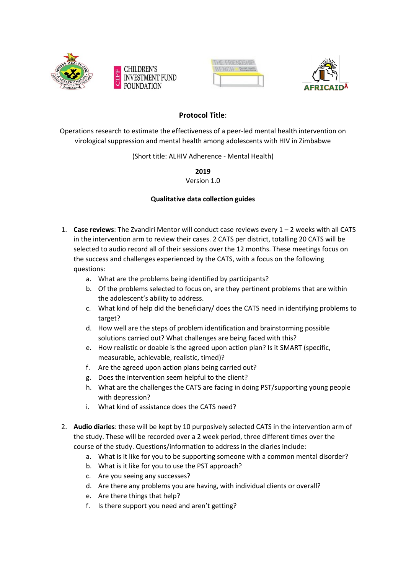







## **Protocol Title**:

Operations research to estimate the effectiveness of a peer-led mental health intervention on virological suppression and mental health among adolescents with HIV in Zimbabwe

(Short title: ALHIV Adherence - Mental Health)

**2019**

Version 1.0

## **Qualitative data collection guides**

- 1. **Case reviews**: The Zvandiri Mentor will conduct case reviews every 1 2 weeks with all CATS in the intervention arm to review their cases. 2 CATS per district, totalling 20 CATS will be selected to audio record all of their sessions over the 12 months. These meetings focus on the success and challenges experienced by the CATS, with a focus on the following questions:
	- a. What are the problems being identified by participants?
	- b. Of the problems selected to focus on, are they pertinent problems that are within the adolescent's ability to address.
	- c. What kind of help did the beneficiary/ does the CATS need in identifying problems to target?
	- d. How well are the steps of problem identification and brainstorming possible solutions carried out? What challenges are being faced with this?
	- e. How realistic or doable is the agreed upon action plan? Is it SMART (specific, measurable, achievable, realistic, timed)?
	- f. Are the agreed upon action plans being carried out?
	- g. Does the intervention seem helpful to the client?
	- h. What are the challenges the CATS are facing in doing PST/supporting young people with depression?
	- i. What kind of assistance does the CATS need?
- 2. **Audio diaries**: these will be kept by 10 purposively selected CATS in the intervention arm of the study. These will be recorded over a 2 week period, three different times over the course of the study. Questions/information to address in the diaries include:
	- a. What is it like for you to be supporting someone with a common mental disorder?
	- b. What is it like for you to use the PST approach?
	- c. Are you seeing any successes?
	- d. Are there any problems you are having, with individual clients or overall?
	- e. Are there things that help?
	- f. Is there support you need and aren't getting?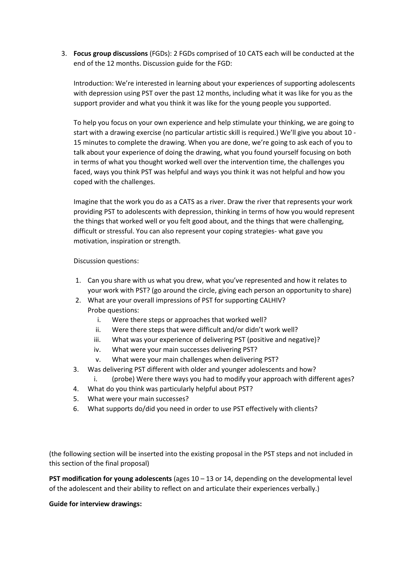3. **Focus group discussions** (FGDs): 2 FGDs comprised of 10 CATS each will be conducted at the end of the 12 months. Discussion guide for the FGD:

Introduction: We're interested in learning about your experiences of supporting adolescents with depression using PST over the past 12 months, including what it was like for you as the support provider and what you think it was like for the young people you supported.

To help you focus on your own experience and help stimulate your thinking, we are going to start with a drawing exercise (no particular artistic skill is required.) We'll give you about 10 - 15 minutes to complete the drawing. When you are done, we're going to ask each of you to talk about your experience of doing the drawing, what you found yourself focusing on both in terms of what you thought worked well over the intervention time, the challenges you faced, ways you think PST was helpful and ways you think it was not helpful and how you coped with the challenges.

Imagine that the work you do as a CATS as a river. Draw the river that represents your work providing PST to adolescents with depression, thinking in terms of how you would represent the things that worked well or you felt good about, and the things that were challenging, difficult or stressful. You can also represent your coping strategies- what gave you motivation, inspiration or strength.

Discussion questions:

- 1. Can you share with us what you drew, what you've represented and how it relates to your work with PST? (go around the circle, giving each person an opportunity to share)
- 2. What are your overall impressions of PST for supporting CALHIV? Probe questions:
	- i. Were there steps or approaches that worked well?
	- ii. Were there steps that were difficult and/or didn't work well?
	- iii. What was your experience of delivering PST (positive and negative)?
	- iv. What were your main successes delivering PST?
	- v. What were your main challenges when delivering PST?
- 3. Was delivering PST different with older and younger adolescents and how?
- i. (probe) Were there ways you had to modify your approach with different ages?
- 4. What do you think was particularly helpful about PST?
- 5. What were your main successes?
- 6. What supports do/did you need in order to use PST effectively with clients?

(the following section will be inserted into the existing proposal in the PST steps and not included in this section of the final proposal)

**PST modification for young adolescents** (ages 10 – 13 or 14, depending on the developmental level of the adolescent and their ability to reflect on and articulate their experiences verbally.)

**Guide for interview drawings:**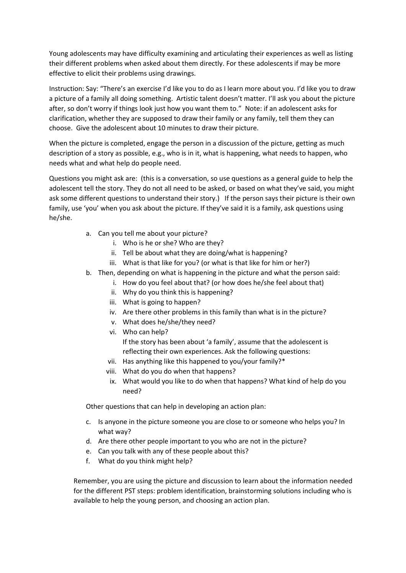Young adolescents may have difficulty examining and articulating their experiences as well as listing their different problems when asked about them directly. For these adolescents if may be more effective to elicit their problems using drawings.

Instruction: Say: "There's an exercise I'd like you to do as I learn more about you. I'd like you to draw a picture of a family all doing something. Artistic talent doesn't matter. I'll ask you about the picture after, so don't worry if things look just how you want them to." Note: if an adolescent asks for clarification, whether they are supposed to draw their family or any family, tell them they can choose. Give the adolescent about 10 minutes to draw their picture.

When the picture is completed, engage the person in a discussion of the picture, getting as much description of a story as possible, e.g., who is in it, what is happening, what needs to happen, who needs what and what help do people need.

Questions you might ask are: (this is a conversation, so use questions as a general guide to help the adolescent tell the story. They do not all need to be asked, or based on what they've said, you might ask some different questions to understand their story.) If the person says their picture is their own family, use 'you' when you ask about the picture. If they've said it is a family, ask questions using he/she.

- a. Can you tell me about your picture?
	- i. Who is he or she? Who are they?
	- ii. Tell be about what they are doing/what is happening?
	- iii. What is that like for you? (or what is that like for him or her?)
- b. Then, depending on what is happening in the picture and what the person said:
	- i. How do you feel about that? (or how does he/she feel about that)
		- ii. Why do you think this is happening?
		- iii. What is going to happen?
		- iv. Are there other problems in this family than what is in the picture?
		- v. What does he/she/they need?
		- vi. Who can help?

If the story has been about 'a family', assume that the adolescent is reflecting their own experiences. Ask the following questions:

- vii. Has anything like this happened to you/your family?\*
- viii. What do you do when that happens?
- ix. What would you like to do when that happens? What kind of help do you need?

Other questions that can help in developing an action plan:

- c. Is anyone in the picture someone you are close to or someone who helps you? In what way?
- d. Are there other people important to you who are not in the picture?
- e. Can you talk with any of these people about this?
- f. What do you think might help?

Remember, you are using the picture and discussion to learn about the information needed for the different PST steps: problem identification, brainstorming solutions including who is available to help the young person, and choosing an action plan.